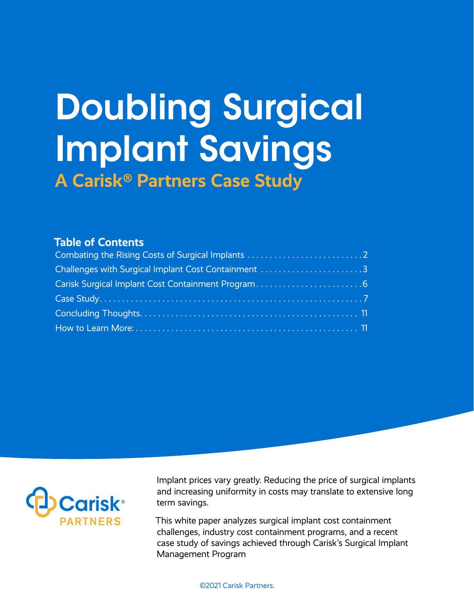# Doubling Surgical Implant Savings **A Carisk® Partners Case Study**

#### **Table of Contents**

| Challenges with Surgical Implant Cost Containment 3 |  |
|-----------------------------------------------------|--|
|                                                     |  |
|                                                     |  |
|                                                     |  |
|                                                     |  |



Implant prices vary greatly. Reducing the price of surgical implants and increasing uniformity in costs may translate to extensive long term savings.

This white paper analyzes surgical implant cost containment challenges, industry cost containment programs, and a recent case study of savings achieved through Carisk's Surgical Implant Management Program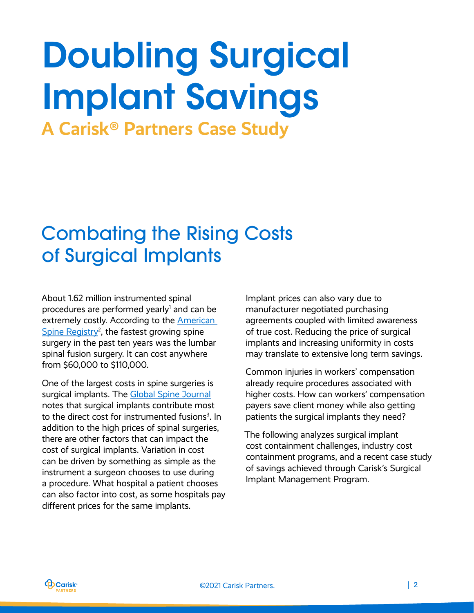# <span id="page-1-0"></span>Doubling Surgical Implant Savings **A Carisk® Partners Case Study**

Combating the Rising Costs of Surgical Implants

About 1.62 million instrumented spinal procedures are performed yearly<sup>1</sup> and can be extremely costly. According to the [American](https://www.aaos.org/globalassets/registries/3.10.20_improving-spine-care-with-the-american-spine-registry.pdf)  Spine Registry<sup>2</sup>, the fastest growing spine surgery in the past ten years was the lumbar spinal fusion surgery. It can cost anywhere from \$60,000 to \$110,000.

One of the largest costs in spine surgeries is surgical implants. The [Global Spine Journal](https://www.ncbi.nlm.nih.gov/pmc/articles/PMC6963351/) notes that surgical implants contribute most to the direct cost for instrumented fusions<sup>3</sup>. In addition to the high prices of spinal surgeries, there are other factors that can impact the cost of surgical implants. Variation in cost can be driven by something as simple as the instrument a surgeon chooses to use during a procedure. What hospital a patient chooses can also factor into cost, as some hospitals pay different prices for the same implants.

Implant prices can also vary due to manufacturer negotiated purchasing agreements coupled with limited awareness of true cost. Reducing the price of surgical implants and increasing uniformity in costs may translate to extensive long term savings.

Common injuries in workers' compensation already require procedures associated with higher costs. How can workers' compensation payers save client money while also getting patients the surgical implants they need?

The following analyzes surgical implant cost containment challenges, industry cost containment programs, and a recent case study of savings achieved through Carisk's Surgical Implant Management Program.

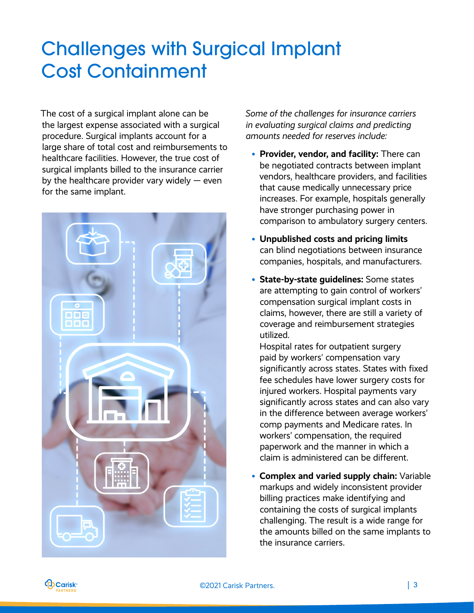# <span id="page-2-0"></span>Challenges with Surgical Implant Cost Containment

The cost of a surgical implant alone can be the largest expense associated with a surgical procedure. Surgical implants account for a large share of total cost and reimbursements to healthcare facilities. However, the true cost of surgical implants billed to the insurance carrier by the healthcare provider vary widely  $-$  even for the same implant.



*Some of the challenges for insurance carriers in evaluating surgical claims and predicting amounts needed for reserves include:*

- **Provider, vendor, and facility:** There can be negotiated contracts between implant vendors, healthcare providers, and facilities that cause medically unnecessary price increases. For example, hospitals generally have stronger purchasing power in comparison to ambulatory surgery centers.
- **Unpublished costs and pricing limits**  can blind negotiations between insurance companies, hospitals, and manufacturers.
- **State-by-state guidelines:** Some states are attempting to gain control of workers' compensation surgical implant costs in claims, however, there are still a variety of coverage and reimbursement strategies utilized.

Hospital rates for outpatient surgery paid by workers' compensation vary significantly across states. States with fixed fee schedules have lower surgery costs for injured workers. Hospital payments vary significantly across states and can also vary in the difference between average workers' comp payments and Medicare rates. In workers' compensation, the required paperwork and the manner in which a claim is administered can be different.

• **Complex and varied supply chain:** Variable markups and widely inconsistent provider billing practices make identifying and containing the costs of surgical implants challenging. The result is a wide range for the amounts billed on the same implants to the insurance carriers.

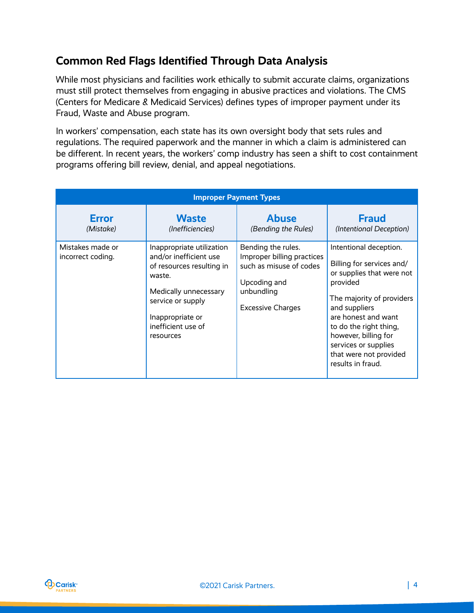## **Common Red Flags Identified Through Data Analysis**

While most physicians and facilities work ethically to submit accurate claims, organizations must still protect themselves from engaging in abusive practices and violations. The CMS (Centers for Medicare & Medicaid Services) defines types of improper payment under its Fraud, Waste and Abuse program.

In workers' compensation, each state has its own oversight body that sets rules and regulations. The required paperwork and the manner in which a claim is administered can be different. In recent years, the workers' comp industry has seen a shift to cost containment programs offering bill review, denial, and appeal negotiations.

| <b>Improper Payment Types</b>         |                                                                                                                                                                                                 |                                                                                                                                       |                                                                                                                                                                                                                                                                                            |  |  |  |
|---------------------------------------|-------------------------------------------------------------------------------------------------------------------------------------------------------------------------------------------------|---------------------------------------------------------------------------------------------------------------------------------------|--------------------------------------------------------------------------------------------------------------------------------------------------------------------------------------------------------------------------------------------------------------------------------------------|--|--|--|
| <b>Error</b><br>(Mistake)             | <b>Waste</b><br>(Inefficiencies)                                                                                                                                                                | <b>Abuse</b><br>(Bending the Rules)                                                                                                   | <b>Fraud</b><br>(Intentional Deception)                                                                                                                                                                                                                                                    |  |  |  |
| Mistakes made or<br>incorrect coding. | Inappropriate utilization<br>and/or inefficient use<br>of resources resulting in<br>waste.<br>Medically unnecessary<br>service or supply<br>Inappropriate or<br>inefficient use of<br>resources | Bending the rules.<br>Improper billing practices<br>such as misuse of codes<br>Upcoding and<br>unbundling<br><b>Excessive Charges</b> | Intentional deception.<br>Billing for services and/<br>or supplies that were not<br>provided<br>The majority of providers<br>and suppliers<br>are honest and want<br>to do the right thing,<br>however, billing for<br>services or supplies<br>that were not provided<br>results in fraud. |  |  |  |

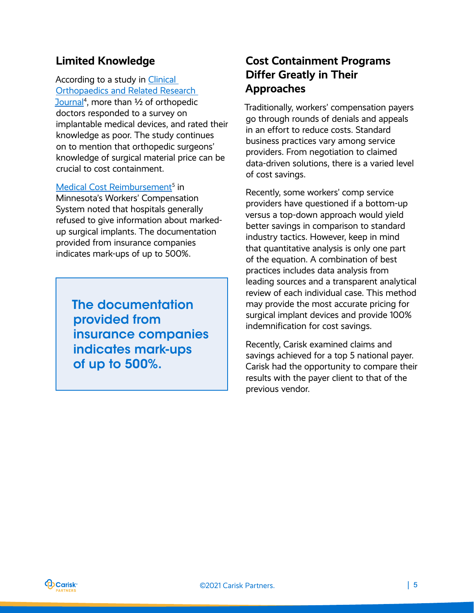### **Limited Knowledge**

According to a study in [Clinical](https://journals.lww.com/clinorthop/Fulltext/2013/06000/Orthopaedic_Surgeons_Frequently_Underestimate_the.3.aspx)  [Orthopaedics and Related Research](https://journals.lww.com/clinorthop/Fulltext/2013/06000/Orthopaedic_Surgeons_Frequently_Underestimate_the.3.aspx) 

[Journal](https://journals.lww.com/clinorthop/Fulltext/2013/06000/Orthopaedic_Surgeons_Frequently_Underestimate_the.3.aspx)<sup>4</sup>, more than 1/2 of orthopedic doctors responded to a survey on implantable medical devices, and rated their knowledge as poor. The study continues on to mention that orthopedic surgeons' knowledge of surgical material price can be crucial to cost containment.

#### [Medical Cost Reimbursement](https://www.leg.mn.gov/docs/2014/mandated/140040.pdf)<sup>5</sup> in

Minnesota's Workers' Compensation System noted that hospitals generally refused to give information about markedup surgical implants. The documentation provided from insurance companies indicates mark-ups of up to 500%.

The documentation provided from insurance companies indicates mark-ups of up to 500%.

### **Cost Containment Programs Differ Greatly in Their Approaches**

Traditionally, workers' compensation payers go through rounds of denials and appeals in an effort to reduce costs. Standard business practices vary among service providers. From negotiation to claimed data-driven solutions, there is a varied level of cost savings.

Recently, some workers' comp service providers have questioned if a bottom-up versus a top-down approach would yield better savings in comparison to standard industry tactics. However, keep in mind that quantitative analysis is only one part of the equation. A combination of best practices includes data analysis from leading sources and a transparent analytical review of each individual case. This method may provide the most accurate pricing for surgical implant devices and provide 100% indemnification for cost savings.

Recently, Carisk examined claims and savings achieved for a top 5 national payer. Carisk had the opportunity to compare their results with the payer client to that of the previous vendor.

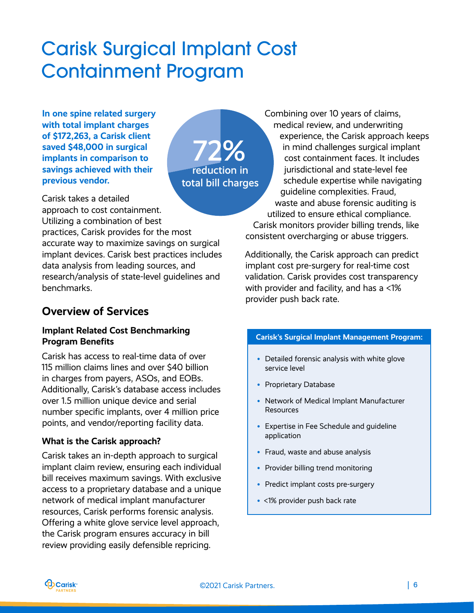# <span id="page-5-0"></span>Carisk Surgical Implant Cost Containment Program

**In one spine related surgery with total implant charges of \$172,263, a Carisk client saved \$48,000 in surgical implants in comparison to savings achieved with their previous vendor.** 

72% reduction in total bill charges

Carisk takes a detailed

approach to cost containment. Utilizing a combination of best practices, Carisk provides for the most accurate way to maximize savings on surgical implant devices. Carisk best practices includes data analysis from leading sources, and research/analysis of state-level guidelines and benchmarks.

### **Overview of Services**

#### **Implant Related Cost Benchmarking Program Benefits**

Carisk has access to real-time data of over 115 million claims lines and over \$40 billion in charges from payers, ASOs, and EOBs. Additionally, Carisk's database access includes over 1.5 million unique device and serial number specific implants, over 4 million price points, and vendor/reporting facility data.

#### **What is the Carisk approach?**

Carisk takes an in-depth approach to surgical implant claim review, ensuring each individual bill receives maximum savings. With exclusive access to a proprietary database and a unique network of medical implant manufacturer resources, Carisk performs forensic analysis. Offering a white glove service level approach, the Carisk program ensures accuracy in bill review providing easily defensible repricing.

Combining over 10 years of claims, medical review, and underwriting experience, the Carisk approach keeps in mind challenges surgical implant cost containment faces. It includes jurisdictional and state-level fee schedule expertise while navigating guideline complexities. Fraud, waste and abuse forensic auditing is utilized to ensure ethical compliance. Carisk monitors provider billing trends, like consistent overcharging or abuse triggers.

Additionally, the Carisk approach can predict implant cost pre-surgery for real-time cost validation. Carisk provides cost transparency with provider and facility, and has a <1% provider push back rate.

#### **Carisk's Surgical Implant Management Program:**

- Detailed forensic analysis with white glove service level
- Proprietary Database
- Network of Medical Implant Manufacturer Resources
- Expertise in Fee Schedule and guideline application
- Fraud, waste and abuse analysis
- Provider billing trend monitoring
- Predict implant costs pre-surgery
- <1% provider push back rate

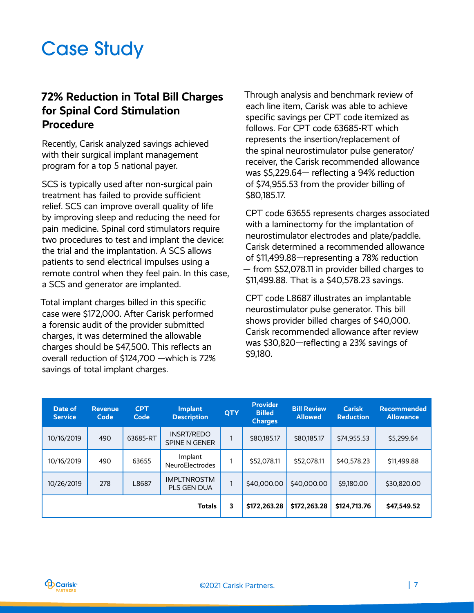# <span id="page-6-0"></span>Case Study

### **72% Reduction in Total Bill Charges for Spinal Cord Stimulation Procedure**

Recently, Carisk analyzed savings achieved with their surgical implant management program for a top 5 national payer.

SCS is typically used after non-surgical pain treatment has failed to provide sufficient relief. SCS can improve overall quality of life by improving sleep and reducing the need for pain medicine. Spinal cord stimulators require two procedures to test and implant the device: the trial and the implantation. A SCS allows patients to send electrical impulses using a remote control when they feel pain. In this case, a SCS and generator are implanted.

Total implant charges billed in this specific case were \$172,000. After Carisk performed a forensic audit of the provider submitted charges, it was determined the allowable charges should be \$47,500. This reflects an overall reduction of \$124,700 —which is 72% savings of total implant charges.

Through analysis and benchmark review of each line item, Carisk was able to achieve specific savings per CPT code itemized as follows. For CPT code 63685-RT which represents the insertion/replacement of the spinal neurostimulator pulse generator/ receiver, the Carisk recommended allowance was \$5,229.64— reflecting a 94% reduction of \$74,955.53 from the provider billing of \$80,185.17.

CPT code 63655 represents charges associated with a laminectomy for the implantation of neurostimulator electrodes and plate/paddle. Carisk determined a recommended allowance of \$11,499.88—representing a 78% reduction — from \$52,078.11 in provider billed charges to \$11,499.88. That is a \$40,578.23 savings.

CPT code L8687 illustrates an implantable neurostimulator pulse generator. This bill shows provider billed charges of \$40,000. Carisk recommended allowance after review was \$30,820—reflecting a 23% savings of \$9,180.

| Date of<br><b>Service</b> | <b>Revenue</b><br>Code | <b>CPT</b><br>Code | <b>Implant</b><br><b>Description</b>     | <b>QTY</b> | <b>Provider</b><br><b>Billed</b><br><b>Charges</b> | <b>Bill Review</b><br>Allowed | <b>Carisk</b><br><b>Reduction</b> | <b>Recommended</b><br><b>Allowance</b> |
|---------------------------|------------------------|--------------------|------------------------------------------|------------|----------------------------------------------------|-------------------------------|-----------------------------------|----------------------------------------|
| 10/16/2019                | 490                    | 63685-RT           | INSRT/REDO<br>SPINE N GENER              |            | \$80,185.17                                        | \$80,185.17                   | \$74,955.53                       | \$5,299.64                             |
| 10/16/2019                | 490                    | 63655              | Implant<br><b>NeuroElectrodes</b>        |            | \$52,078.11                                        | \$52,078.11                   | \$40,578.23                       | \$11,499.88                            |
| 10/26/2019                | 278                    | L8687              | <b>IMPLTNROSTM</b><br><b>PLS GEN DUA</b> |            | \$40,000.00                                        | \$40,000.00                   | \$9,180.00                        | \$30,820.00                            |
|                           |                        |                    | <b>Totals</b>                            | 3          | \$172,263.28                                       | \$172,263.28                  | \$124,713.76                      | \$47,549.52                            |

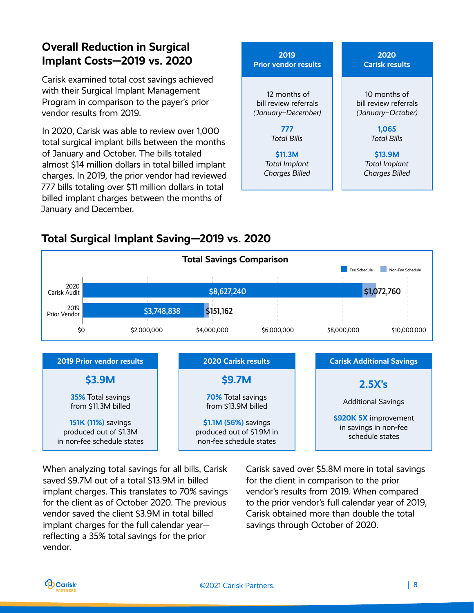# **Overall Reduction in Surgical Implant Costs—2019 vs. 2020**

Carisk examined total cost savings achieved with their Surgical Implant Management Program in comparison to the payer's prior vendor results from 2019.

In 2020, Carisk was able to review over 1,000 total surgical implant bills between the months of January and October. The bills totaled almost \$14 million dollars in total billed implant charges. In 2019, the prior vendor had reviewed 777 bills totaling over \$11 million dollars in total billed implant charges between the months of January and December.



### **Total Surgical Implant Saving—2019 vs. 2020**



When analyzing total savings for all bills, Carisk saved \$9.7M out of a total \$13.9M in billed implant charges. This translates to 70% savings for the client as of October 2020. The previous vendor saved the client \$3.9M in total billed implant charges for the full calendar year reflecting a 35% total savings for the prior vendor.

Carisk saved over \$5.8M more in total savings for the client in comparison to the prior vendor's results from 2019. When compared to the prior vendor's full calendar year of 2019, Carisk obtained more than double the total savings through October of 2020.

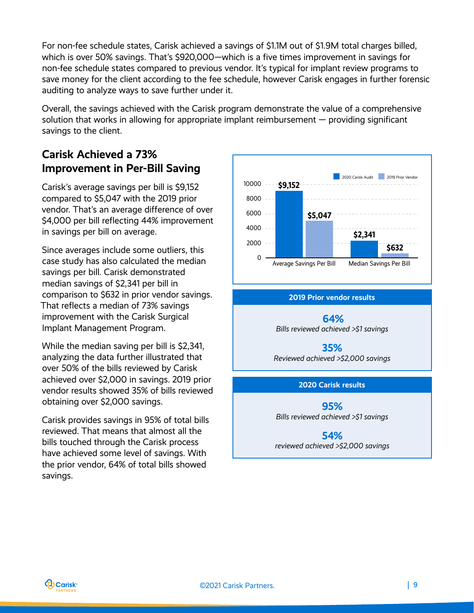For non-fee schedule states, Carisk achieved a savings of \$1.1M out of \$1.9M total charges billed, which is over 50% savings. That's \$920,000—which is a five times improvement in savings for non-fee schedule states compared to previous vendor. It's typical for implant review programs to save money for the client according to the fee schedule, however Carisk engages in further forensic auditing to analyze ways to save further under it.

Overall, the savings achieved with the Carisk program demonstrate the value of a comprehensive solution that works in allowing for appropriate implant reimbursement — providing significant savings to the client.

### **Carisk Achieved a 73% Improvement in Per-Bill Saving**

Carisk's average savings per bill is \$9,152 compared to \$5,047 with the 2019 prior vendor. That's an average difference of over \$4,000 per bill reflecting 44% improvement in savings per bill on average.

Since averages include some outliers, this case study has also calculated the median savings per bill. Carisk demonstrated median savings of \$2,341 per bill in comparison to \$632 in prior vendor savings. That reflects a median of 73% savings improvement with the Carisk Surgical Implant Management Program.

While the median saving per bill is \$2,341, analyzing the data further illustrated that over 50% of the bills reviewed by Carisk achieved over \$2,000 in savings. 2019 prior vendor results showed 35% of bills reviewed obtaining over \$2,000 savings.

Carisk provides savings in 95% of total bills reviewed. That means that almost all the bills touched through the Carisk process have achieved some level of savings. With the prior vendor, 64% of total bills showed savings.



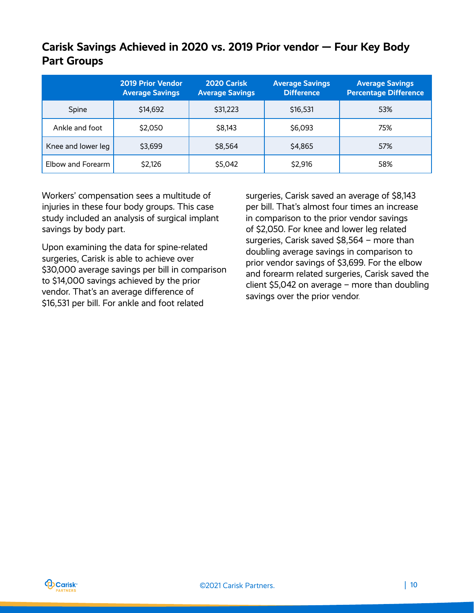## **Carisk Savings Achieved in 2020 vs. 2019 Prior vendor — Four Key Body Part Groups**

|                    | <b>2019 Prior Vendor</b><br><b>Average Savings</b> | 2020 Carisk<br><b>Average Savings</b> | <b>Average Savings</b><br><b>Difference</b> | <b>Average Savings</b><br><b>Percentage Difference</b> |
|--------------------|----------------------------------------------------|---------------------------------------|---------------------------------------------|--------------------------------------------------------|
| Spine              | \$14,692                                           | \$31,223                              | \$16,531                                    | 53%                                                    |
| Ankle and foot     | \$2,050                                            | \$8,143                               | \$6,093                                     | 75%                                                    |
| Knee and lower leg | \$3,699                                            | \$8,564                               | \$4,865                                     | 57%                                                    |
| Elbow and Forearm  | \$2,126                                            | \$5,042                               | \$2,916                                     | 58%                                                    |

Workers' compensation sees a multitude of injuries in these four body groups. This case study included an analysis of surgical implant savings by body part.

Upon examining the data for spine-related surgeries, Carisk is able to achieve over \$30,000 average savings per bill in comparison to \$14,000 savings achieved by the prior vendor. That's an average difference of \$16,531 per bill. For ankle and foot related

surgeries, Carisk saved an average of \$8,143 per bill. That's almost four times an increase in comparison to the prior vendor savings of \$2,050. For knee and lower leg related surgeries, Carisk saved \$8,564 – more than doubling average savings in comparison to prior vendor savings of \$3,699. For the elbow and forearm related surgeries, Carisk saved the client \$5,042 on average – more than doubling savings over the prior vendor.

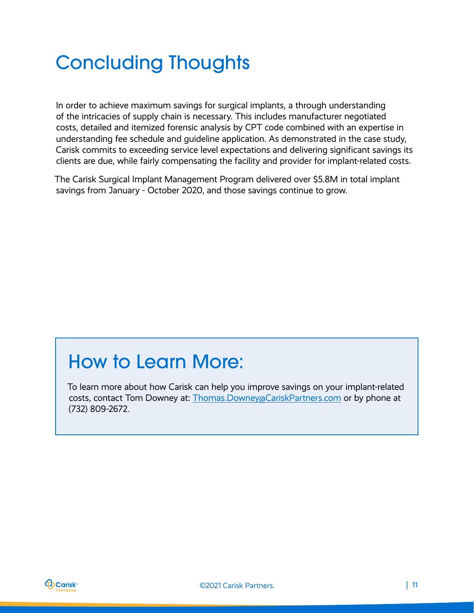# <span id="page-10-0"></span>Concluding Thoughts

In order to achieve maximum savings for surgical implants, a through understanding of the intricacies of supply chain is necessary. This includes manufacturer negotiated costs, detailed and itemized forensic analysis by CPT code combined with an expertise in understanding fee schedule and guideline application. As demonstrated in the case study, Carisk commits to exceeding service level expectations and delivering significant savings its clients are due, while fairly compensating the facility and provider for implant-related costs.

The Carisk Surgical Implant Management Program delivered over \$5.8M in total implant savings from January - October 2020, and those savings continue to grow.

# How to Learn More:

To learn more about how Carisk can help you improve savings on your implant-related costs, contact Tom Downey at: [Thomas.Downey@CariskPartners.com](mailto:Thomas.Downey@CariskPartners.com) or by phone at (732) 809-2672.